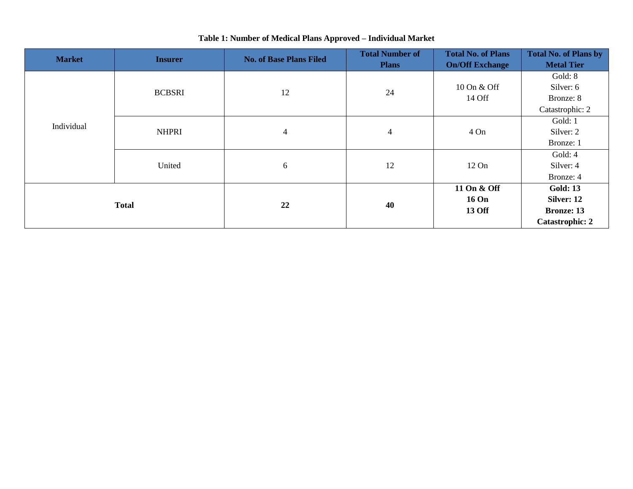| <b>Market</b> | <b>Insurer</b> | <b>No. of Base Plans Filed</b> | <b>Total Number of</b><br><b>Plans</b> | <b>Total No. of Plans</b><br><b>On/Off Exchange</b> | <b>Total No. of Plans by</b><br><b>Metal Tier</b> |
|---------------|----------------|--------------------------------|----------------------------------------|-----------------------------------------------------|---------------------------------------------------|
| Individual    | <b>BCBSRI</b>  | 12                             | 24                                     | 10 On & Off<br>14 Off                               | Gold: 8<br>Silver: 6<br>Bronze: 8                 |
|               |                |                                |                                        |                                                     | Catastrophic: 2                                   |
|               | <b>NHPRI</b>   | 4                              | 4                                      |                                                     | Gold: 1                                           |
|               |                |                                |                                        | $4$ On                                              | Silver: 2                                         |
|               |                |                                |                                        |                                                     | Bronze: 1                                         |
|               | United         | 6                              | 12                                     |                                                     | Gold: 4                                           |
|               |                |                                |                                        | $12 \text{ On}$                                     | Silver: 4                                         |
|               |                |                                |                                        |                                                     | Bronze: 4                                         |
| <b>Total</b>  |                | 22                             | 40                                     | 11 On & Off                                         | <b>Gold: 13</b>                                   |
|               |                |                                |                                        | <b>16 On</b>                                        | Silver: 12                                        |
|               |                |                                |                                        | 13 Off                                              | <b>Bronze: 13</b>                                 |
|               |                |                                |                                        |                                                     | <b>Catastrophic: 2</b>                            |

## **Table 1: Number of Medical Plans Approved – Individual Market**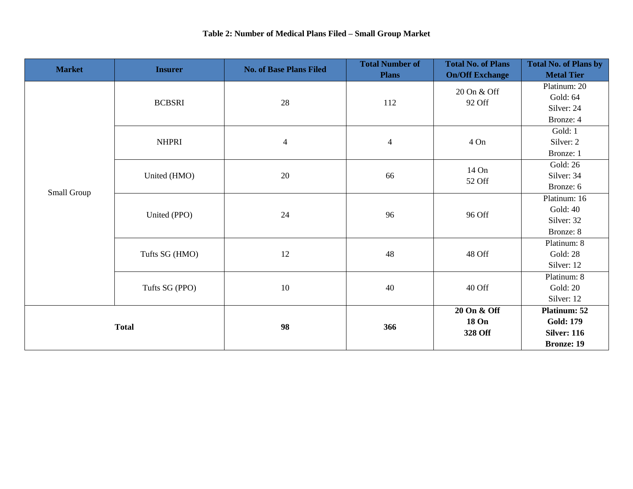| <b>Market</b> | <b>Insurer</b> | <b>No. of Base Plans Filed</b> | <b>Total Number of</b> | <b>Total No. of Plans</b> | <b>Total No. of Plans by</b> |
|---------------|----------------|--------------------------------|------------------------|---------------------------|------------------------------|
|               |                |                                | <b>Plans</b>           | <b>On/Off Exchange</b>    | <b>Metal Tier</b>            |
| Small Group   | <b>BCBSRI</b>  | 28                             | 112                    | 20 On & Off<br>92 Off     | Platinum: 20                 |
|               |                |                                |                        |                           | Gold: 64                     |
|               |                |                                |                        |                           | Silver: 24                   |
|               |                |                                |                        |                           | Bronze: 4                    |
|               | <b>NHPRI</b>   | $\overline{4}$                 | $\overline{4}$         | 4 On                      | Gold: 1                      |
|               |                |                                |                        |                           | Silver: 2                    |
|               |                |                                |                        |                           | Bronze: 1                    |
|               | United (HMO)   | 20                             | 66                     | 14 On<br>52 Off           | <b>Gold: 26</b>              |
|               |                |                                |                        |                           | Silver: 34                   |
|               |                |                                |                        |                           | Bronze: 6                    |
|               | United (PPO)   | 24                             | 96                     | 96 Off                    | Platinum: 16                 |
|               |                |                                |                        |                           | Gold: 40                     |
|               |                |                                |                        |                           | Silver: 32                   |
|               |                |                                |                        |                           | Bronze: 8                    |
|               | Tufts SG (HMO) | 12                             | 48                     | 48 Off                    | Platinum: 8                  |
|               |                |                                |                        |                           | <b>Gold: 28</b>              |
|               |                |                                |                        |                           | Silver: 12                   |
|               | Tufts SG (PPO) | 10                             | 40                     | 40 Off                    | Platinum: 8                  |
|               |                |                                |                        |                           | Gold: 20                     |
|               |                |                                |                        |                           | Silver: 12                   |
| <b>Total</b>  |                | 98                             | 366                    | 20 On & Off               | Platinum: 52                 |
|               |                |                                |                        | <b>18 On</b>              | <b>Gold: 179</b>             |
|               |                |                                |                        | 328 Off                   | <b>Silver: 116</b>           |
|               |                |                                |                        |                           | <b>Bronze: 19</b>            |